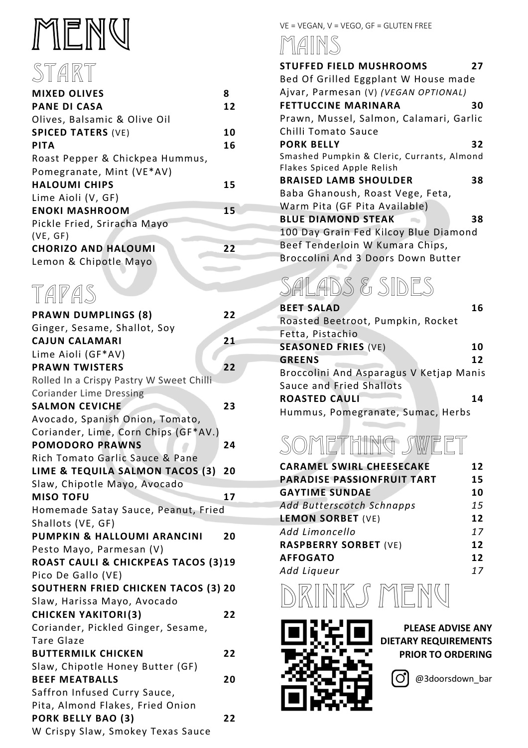# MENU START

| <b>MIXED OLIVES</b>             | 8  |
|---------------------------------|----|
| <b>PANE DI CASA</b>             | 12 |
| Olives, Balsamic & Olive Oil    |    |
| <b>SPICED TATERS (VE)</b>       | 10 |
| <b>PITA</b>                     | 16 |
| Roast Pepper & Chickpea Hummus, |    |
| Pomegranate, Mint (VE*AV)       |    |
| <b>HALOUMI CHIPS</b>            | 15 |
| Lime Aioli (V, GF)              |    |
| <b>ENOKI MASHROOM</b>           | 15 |
| Pickle Fried, Sriracha Mayo     |    |
| (VE, GF)                        |    |
| <b>CHORIZO AND HALOUMI</b>      | 22 |
| Lemon & Chipotle Mayo           |    |

## TAPAS

| <b>PRAWN DUMPLINGS (8)</b>                 | 22 |
|--------------------------------------------|----|
| Ginger, Sesame, Shallot, Soy               |    |
| <b>CAJUN CALAMARI</b>                      | 21 |
| Lime Aioli (GF*AV)                         |    |
| <b>PRAWN TWISTERS</b>                      | 22 |
| Rolled In a Crispy Pastry W Sweet Chilli   |    |
| <b>Coriander Lime Dressing</b>             |    |
| <b>SALMON CEVICHE</b>                      | 23 |
| Avocado, Spanish Onion, Tomato,            |    |
| Coriander, Lime, Corn Chips (GF*AV.)       |    |
| <b>POMODORO PRAWNS</b>                     | 24 |
| Rich Tomato Garlic Sauce & Pane            |    |
| LIME & TEQUILA SALMON TACOS (3)            | 20 |
| Slaw, Chipotle Mayo, Avocado               |    |
| <b>MISO TOFU</b>                           | 17 |
| Homemade Satay Sauce, Peanut, Fried        |    |
| Shallots (VE, GF)                          |    |
| PUMPKIN & HALLOUMI ARANCINI                | 20 |
| Pesto Mayo, Parmesan (V)                   |    |
| ROAST CAULI & CHICKPEAS TACOS (3)19        |    |
| Pico De Gallo (VE)                         |    |
| <b>SOUTHERN FRIED CHICKEN TACOS (3) 20</b> |    |
| Slaw, Harissa Mayo, Avocado                |    |
| <b>CHICKEN YAKITORI(3)</b>                 | 22 |
| Coriander, Pickled Ginger, Sesame,         |    |
| <b>Tare Glaze</b>                          |    |
| <b>BUTTERMILK CHICKEN</b>                  | 22 |
| Slaw, Chipotle Honey Butter (GF)           |    |
| <b>BEEF MEATBALLS</b>                      | 20 |
| Saffron Infused Curry Sauce,               |    |
| Pita, Almond Flakes, Fried Onion           |    |
| PORK BELLY BAO (3)                         | 22 |
| W Crispy Slaw, Smokey Texas Sauce          |    |

#### VE = VEGAN, V = VEGO, GF = GLUTEN FREE

MAINS

| <b>STUFFED FIELD MUSHROOMS</b>             | 27 |
|--------------------------------------------|----|
| Bed Of Grilled Eggplant W House made       |    |
| Ajvar, Parmesan (V) (VEGAN OPTIONAL)       |    |
| <b>FETTUCCINE MARINARA</b>                 | 30 |
| Prawn, Mussel, Salmon, Calamari, Garlic    |    |
| Chilli Tomato Sauce                        |    |
| <b>PORK BELLY</b>                          | 32 |
| Smashed Pumpkin & Cleric, Currants, Almond |    |
| Flakes Spiced Apple Relish                 |    |
| <b>BRAISED LAMB SHOULDER</b>               | 38 |
| Baba Ghanoush, Roast Vege, Feta,           |    |
| Warm Pita (GF Pita Available)              |    |
| <b>BLUE DIAMOND STEAK</b>                  | 38 |
| 100 Day Grain Fed Kilcoy Blue Diamond      |    |
| Beef Tenderloin W Kumara Chips,            |    |
| Broccolini And 3 Doors Down Butter         |    |
|                                            |    |

## SALADS & SIDES

| <b>BEET SALAD</b>                       | 16 |
|-----------------------------------------|----|
| Roasted Beetroot, Pumpkin, Rocket       |    |
| Fetta, Pistachio                        |    |
| <b>SEASONED FRIES (VE)</b>              | 10 |
| <b>GREENS</b>                           | 12 |
| Broccolini And Asparagus V Ketjap Manis |    |
| Sauce and Fried Shallots                |    |
| <b>ROASTED CAULI</b>                    | 14 |
| Hummus, Pomegranate, Sumac, Herbs       |    |

### Something sweet

| <b>CARAMEL SWIRL CHEESECAKE</b>   | 12 |
|-----------------------------------|----|
| <b>PARADISE PASSIONFRUIT TART</b> | 15 |
| <b>GAYTIME SUNDAE</b>             | 10 |
| Add Butterscotch Schnapps         | 15 |
| <b>LEMON SORBET (VE)</b>          | 12 |
| Add Limoncello                    | 17 |
| <b>RASPBERRY SORBET (VE)</b>      | 12 |
| <b>AFFOGATO</b>                   | 12 |
| Add Liqueur                       | 17 |
|                                   |    |





**PLEASE ADVISE ANY DIETARY REQUIREMENTS PRIOR TO ORDERING**

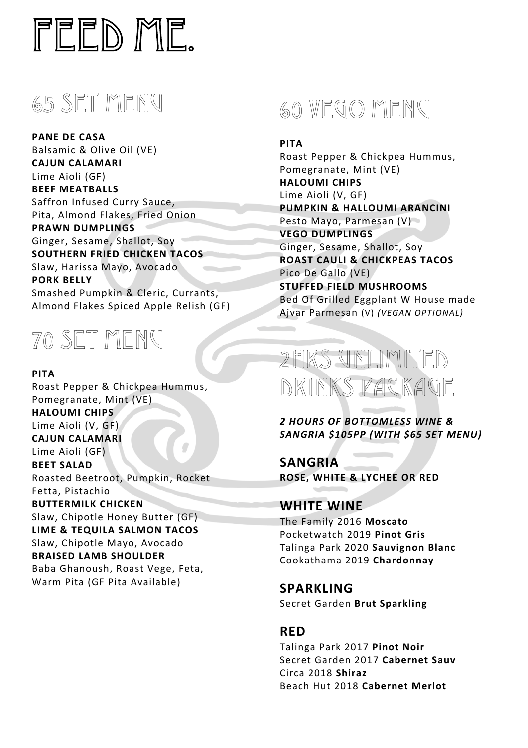

### 65 SET MENU

**PANE DE CASA** Balsamic & Olive Oil (VE) **CAJUN CALAMARI** Lime Aioli (GF) **BEEF MEATBALLS** Saffron Infused Curry Sauce, Pita, Almond Flakes, Fried Onion **PRAWN DUMPLINGS** Ginger, Sesame, Shallot, Soy **SOUTHERN FRIED CHICKEN TACOS** Slaw, Harissa Mayo, Avocado **PORK BELLY** Smashed Pumpkin & Cleric, Currants, Almond Flakes Spiced Apple Relish (GF)



#### **PITA**

Roast Pepper & Chickpea Hummus, Pomegranate, Mint (VE) **HALOUMI CHIPS** Lime Aioli (V, GF) **CAJUN CALAMARI** Lime Aioli (GF) **BEET SALAD** Roasted Beetroot, Pumpkin, Rocket Fetta, Pistachio **BUTTERMILK CHICKEN** Slaw, Chipotle Honey Butter (GF) **LIME & TEQUILA SALMON TACOS** Slaw, Chipotle Mayo, Avocado **BRAISED LAMB SHOULDER** Baba Ghanoush, Roast Vege, Feta, Warm Pita (GF Pita Available)



**PITA**  Roast Pepper & Chickpea Hummus, Pomegranate, Mint (VE) **HALOUMI CHIPS** Lime Aioli (V, GF) **PUMPKIN & HALLOUMI ARANCINI** Pesto Mayo, Parmesan (V) **VEGO DUMPLINGS** Ginger, Sesame, Shallot, Soy **ROAST CAULI & CHICKPEAS TACOS** Pico De Gallo (VE) **STUFFED FIELD MUSHROOMS** Bed Of Grilled Eggplant W House made Ajvar Parmesan (V) *(VEGAN OPTIONAL)*

### 2HRS UNLIMITED DRINKS PACKAGE

*2 HOURS OF BOTTOMLESS WINE & SANGRIA \$105PP (WITH \$65 SET MENU)*

**SANGRIA ROSE, WHITE & LYCHEE OR RED**

#### **WHITE WINE**

The Family 2016 **Moscato** Pocketwatch 2019 **Pinot Gris** Talinga Park 2020 **Sauvignon Blanc**  Cookathama 2019 **Chardonnay** 

**SPARKLING** Secret Garden **Brut Sparkling**

#### **RED**

Talinga Park 2017 **Pinot Noir** Secret Garden 2017 **Cabernet Sauv** Circa 2018 **Shiraz**  Beach Hut 2018 **Cabernet Merlot**